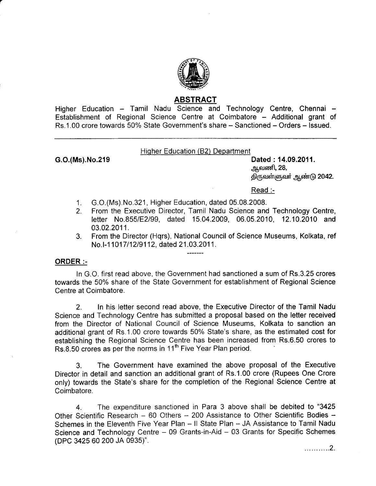

## ABSTRACT

Higher Education - Tamil Nadu Science and Technology Centre, Chennai -Establishment of Regional Science Centre at Coimbatore - Additional grant of Rs.1.00 crore towards 50% State Government's share - Sanctioned - Orders - Issued.

## Hiqher Education (82) Department

G.O.(Ms).No.219 Dated : 14.09.2011. <u>ஆ</u>வணி, 28, திருவள்ளுவர் ஆண்டு 2042.

 $Read: -$ 

- 1. G.O.(Ms).No.321, Higher Education, dated 05.08.2008.
- 2. From the Executive Director, Tamil Nadu Science and Technology Centre, letter No.B55/E2l99, dated 15.04.2009, 06.05.2010, 12.10.2010 and 03.02.2011.
- 3. From the Director (Hqrs), National Council of Science Museums, Kolkata, ref No. I-11017/12/9112, dated 21.03.2011.

## ORDER :-

In G.O. first read above, the Government had sanctioned a sum of Rs.3.25 crores towards the 50% share of the State Government for establishment of Regional Science Centre at Coimbatore.

2. In his letter second read above, the Executive Director of the Tamil Nadu Science and Technology Centre has submitted a proposal based on the letter received from the Director of National Council of Science Museums, Kolkata to sanction an additional grant of Rs.1.00 crore towards 50% State's share, as the estimated cost for establishing the Regional Science Centre has been increased from Rs.6.50 crores to Rs.8.50 crores as per the norms in 11<sup>th</sup> Five Year Plan period.

3. The Government have examined the above proposal of the Executive Director in detail and sanction an additional grant of Rs.1.00 crore (Rupees One Crore only) towards the State's share for the completion of the Regional Science Centre at Coimbatore.

4. The expenditure sanctioned in Para 3 above shall be debited to "3425 Other Scientific Research - 60 Others - 200 Assistance to Other Scientific Bodies -Schemes in the Eleventh Five Year Plan - Il State Plan - JA Assistance to Tamil Nadu Science and Technology Centre – 09 Grants-in-Aid – 03 Grants for Specific Schemes (DPC 3425 60 200 JA 0935)".

. . . . . . . . . . . 2 .